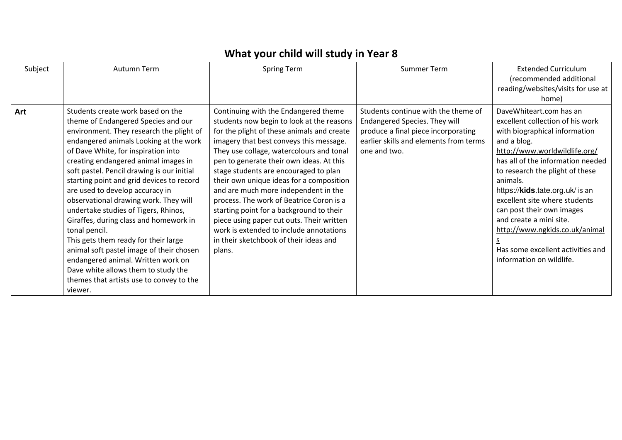## **What your child will study in Year 8**

| Subject | Autumn Term                                                                                                                                                                                                                                                                                                                                                                                                                                                                                                                                                                                                                                                                                                                                     | <b>Spring Term</b>                                                                                                                                                                                                                                                                                                                                                                                                                                                                                                                                                                                                                  | Summer Term                                                                                                                                                           | <b>Extended Curriculum</b><br>(recommended additional<br>reading/websites/visits for use at<br>home)                                                                                                                                                                                                                                                                                                                                                                     |
|---------|-------------------------------------------------------------------------------------------------------------------------------------------------------------------------------------------------------------------------------------------------------------------------------------------------------------------------------------------------------------------------------------------------------------------------------------------------------------------------------------------------------------------------------------------------------------------------------------------------------------------------------------------------------------------------------------------------------------------------------------------------|-------------------------------------------------------------------------------------------------------------------------------------------------------------------------------------------------------------------------------------------------------------------------------------------------------------------------------------------------------------------------------------------------------------------------------------------------------------------------------------------------------------------------------------------------------------------------------------------------------------------------------------|-----------------------------------------------------------------------------------------------------------------------------------------------------------------------|--------------------------------------------------------------------------------------------------------------------------------------------------------------------------------------------------------------------------------------------------------------------------------------------------------------------------------------------------------------------------------------------------------------------------------------------------------------------------|
| Art     | Students create work based on the<br>theme of Endangered Species and our<br>environment. They research the plight of<br>endangered animals Looking at the work<br>of Dave White, for inspiration into<br>creating endangered animal images in<br>soft pastel. Pencil drawing is our initial<br>starting point and grid devices to record<br>are used to develop accuracy in<br>observational drawing work. They will<br>undertake studies of Tigers, Rhinos,<br>Giraffes, during class and homework in<br>tonal pencil.<br>This gets them ready for their large<br>animal soft pastel image of their chosen<br>endangered animal. Written work on<br>Dave white allows them to study the<br>themes that artists use to convey to the<br>viewer. | Continuing with the Endangered theme<br>students now begin to look at the reasons<br>for the plight of these animals and create<br>imagery that best conveys this message.<br>They use collage, watercolours and tonal<br>pen to generate their own ideas. At this<br>stage students are encouraged to plan<br>their own unique ideas for a composition<br>and are much more independent in the<br>process. The work of Beatrice Coron is a<br>starting point for a background to their<br>piece using paper cut outs. Their written<br>work is extended to include annotations<br>in their sketchbook of their ideas and<br>plans. | Students continue with the theme of<br>Endangered Species. They will<br>produce a final piece incorporating<br>earlier skills and elements from terms<br>one and two. | DaveWhiteart.com has an<br>excellent collection of his work<br>with biographical information<br>and a blog.<br>http://www.worldwildlife.org/<br>has all of the information needed<br>to research the plight of these<br>animals.<br>https:// <b>kids</b> .tate.org.uk/ is an<br>excellent site where students<br>can post their own images<br>and create a mini site.<br>http://www.ngkids.co.uk/animal<br>Has some excellent activities and<br>information on wildlife. |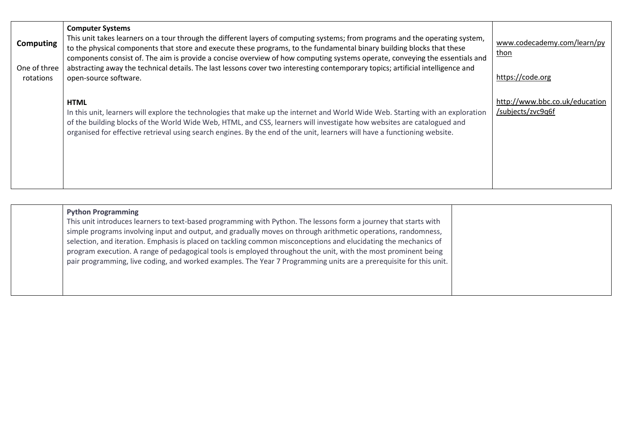| Computing<br>One of three<br>rotations | <b>Computer Systems</b><br>This unit takes learners on a tour through the different layers of computing systems; from programs and the operating system,<br>to the physical components that store and execute these programs, to the fundamental binary building blocks that these<br>components consist of. The aim is provide a concise overview of how computing systems operate, conveying the essentials and<br>abstracting away the technical details. The last lessons cover two interesting contemporary topics; artificial intelligence and<br>open-source software. | www.codecademy.com/learn/py<br>thon<br>https://code.org |
|----------------------------------------|-------------------------------------------------------------------------------------------------------------------------------------------------------------------------------------------------------------------------------------------------------------------------------------------------------------------------------------------------------------------------------------------------------------------------------------------------------------------------------------------------------------------------------------------------------------------------------|---------------------------------------------------------|
|                                        | <b>HTML</b><br>In this unit, learners will explore the technologies that make up the internet and World Wide Web. Starting with an exploration<br>of the building blocks of the World Wide Web, HTML, and CSS, learners will investigate how websites are catalogued and<br>organised for effective retrieval using search engines. By the end of the unit, learners will have a functioning website.                                                                                                                                                                         | http://www.bbc.co.uk/education<br>/subjects/zvc9q6f     |

| <b>Python Programming</b><br>This unit introduces learners to text-based programming with Python. The lessons form a journey that starts with<br>simple programs involving input and output, and gradually moves on through arithmetic operations, randomness,<br>selection, and iteration. Emphasis is placed on tackling common misconceptions and elucidating the mechanics of<br>program execution. A range of pedagogical tools is employed throughout the unit, with the most prominent being<br>pair programming, live coding, and worked examples. The Year 7 Programming units are a prerequisite for this unit. |  |
|---------------------------------------------------------------------------------------------------------------------------------------------------------------------------------------------------------------------------------------------------------------------------------------------------------------------------------------------------------------------------------------------------------------------------------------------------------------------------------------------------------------------------------------------------------------------------------------------------------------------------|--|
|                                                                                                                                                                                                                                                                                                                                                                                                                                                                                                                                                                                                                           |  |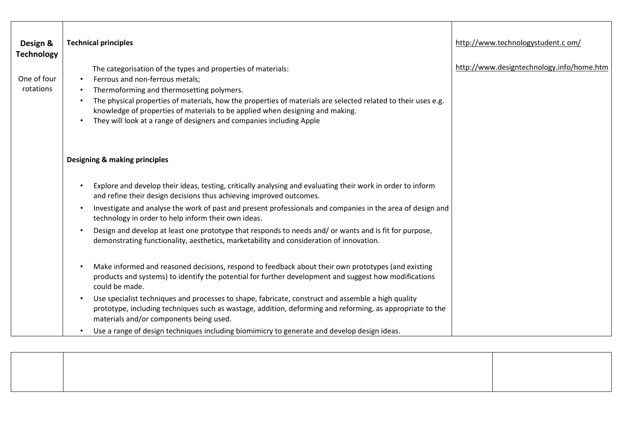| Design &<br><b>Technology</b><br>One of four<br>rotations | <b>Technical principles</b><br>The categorisation of the types and properties of materials:<br>Ferrous and non-ferrous metals;<br>Thermoforming and thermosetting polymers.<br>The physical properties of materials, how the properties of materials are selected related to their uses e.g.<br>knowledge of properties of materials to be applied when designing and making.<br>They will look at a range of designers and companies including Apple | http://www.technologystudent.c om/<br>http://www.designtechnology.info/home.htm |
|-----------------------------------------------------------|-------------------------------------------------------------------------------------------------------------------------------------------------------------------------------------------------------------------------------------------------------------------------------------------------------------------------------------------------------------------------------------------------------------------------------------------------------|---------------------------------------------------------------------------------|
|                                                           | <b>Designing &amp; making principles</b><br>Explore and develop their ideas, testing, critically analysing and evaluating their work in order to inform<br>and refine their design decisions thus achieving improved outcomes.                                                                                                                                                                                                                        |                                                                                 |
|                                                           | Investigate and analyse the work of past and present professionals and companies in the area of design and<br>technology in order to help inform their own ideas.                                                                                                                                                                                                                                                                                     |                                                                                 |
|                                                           | Design and develop at least one prototype that responds to needs and/ or wants and is fit for purpose,<br>demonstrating functionality, aesthetics, marketability and consideration of innovation.                                                                                                                                                                                                                                                     |                                                                                 |
|                                                           | Make informed and reasoned decisions, respond to feedback about their own prototypes (and existing<br>products and systems) to identify the potential for further development and suggest how modifications<br>could be made.                                                                                                                                                                                                                         |                                                                                 |
|                                                           | Use specialist techniques and processes to shape, fabricate, construct and assemble a high quality<br>prototype, including techniques such as wastage, addition, deforming and reforming, as appropriate to the<br>materials and/or components being used.                                                                                                                                                                                            |                                                                                 |
|                                                           | Use a range of design techniques including biomimicry to generate and develop design ideas.                                                                                                                                                                                                                                                                                                                                                           |                                                                                 |

┑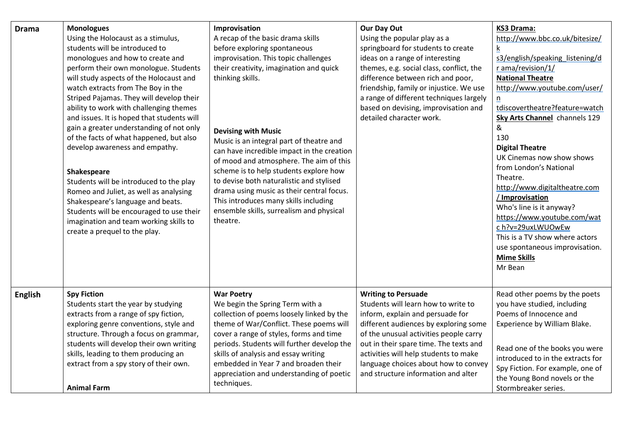| <b>Drama</b>   | <b>Monologues</b><br>Using the Holocaust as a stimulus,<br>students will be introduced to<br>monologues and how to create and<br>perform their own monologue. Students<br>will study aspects of the Holocaust and<br>watch extracts from The Boy in the<br>Striped Pajamas. They will develop their<br>ability to work with challenging themes<br>and issues. It is hoped that students will<br>gain a greater understanding of not only<br>of the facts of what happened, but also<br>develop awareness and empathy.<br>Shakespeare<br>Students will be introduced to the play<br>Romeo and Juliet, as well as analysing<br>Shakespeare's language and beats.<br>Students will be encouraged to use their<br>imagination and team working skills to<br>create a prequel to the play. | Improvisation<br>A recap of the basic drama skills<br>before exploring spontaneous<br>improvisation. This topic challenges<br>their creativity, imagination and quick<br>thinking skills.<br><b>Devising with Music</b><br>Music is an integral part of theatre and<br>can have incredible impact in the creation<br>of mood and atmosphere. The aim of this<br>scheme is to help students explore how<br>to devise both naturalistic and stylised<br>drama using music as their central focus.<br>This introduces many skills including<br>ensemble skills, surrealism and physical<br>theatre. | Our Day Out<br>Using the popular play as a<br>springboard for students to create<br>ideas on a range of interesting<br>themes, e.g. social class, conflict, the<br>difference between rich and poor,<br>friendship, family or injustice. We use<br>a range of different techniques largely<br>based on devising, improvisation and<br>detailed character work. | <b>KS3 Drama:</b><br>http://www.bbc.co.uk/bitesize/<br>s3/english/speaking listening/d<br>r ama/revision/1/<br><b>National Theatre</b><br>http://www.youtube.com/user/<br>n<br>tdiscovertheatre?feature=watch<br><b>Sky Arts Channel</b> channels 129<br>&<br>130<br><b>Digital Theatre</b><br>UK Cinemas now show shows<br>from London's National<br>Theatre.<br>http://www.digitaltheatre.com<br>/ Improvisation<br>Who's line is it anyway?<br>https://www.youtube.com/wat<br>c h?v=29uxLWUOwEw<br>This is a TV show where actors<br>use spontaneous improvisation.<br><b>Mime Skills</b><br>Mr Bean |
|----------------|---------------------------------------------------------------------------------------------------------------------------------------------------------------------------------------------------------------------------------------------------------------------------------------------------------------------------------------------------------------------------------------------------------------------------------------------------------------------------------------------------------------------------------------------------------------------------------------------------------------------------------------------------------------------------------------------------------------------------------------------------------------------------------------|--------------------------------------------------------------------------------------------------------------------------------------------------------------------------------------------------------------------------------------------------------------------------------------------------------------------------------------------------------------------------------------------------------------------------------------------------------------------------------------------------------------------------------------------------------------------------------------------------|----------------------------------------------------------------------------------------------------------------------------------------------------------------------------------------------------------------------------------------------------------------------------------------------------------------------------------------------------------------|---------------------------------------------------------------------------------------------------------------------------------------------------------------------------------------------------------------------------------------------------------------------------------------------------------------------------------------------------------------------------------------------------------------------------------------------------------------------------------------------------------------------------------------------------------------------------------------------------------|
| <b>English</b> | <b>Spy Fiction</b><br>Students start the year by studying<br>extracts from a range of spy fiction,<br>exploring genre conventions, style and<br>structure. Through a focus on grammar,<br>students will develop their own writing<br>skills, leading to them producing an<br>extract from a spy story of their own.<br><b>Animal Farm</b>                                                                                                                                                                                                                                                                                                                                                                                                                                             | <b>War Poetry</b><br>We begin the Spring Term with a<br>collection of poems loosely linked by the<br>theme of War/Conflict. These poems will<br>cover a range of styles, forms and time<br>periods. Students will further develop the<br>skills of analysis and essay writing<br>embedded in Year 7 and broaden their<br>appreciation and understanding of poetic<br>techniques.                                                                                                                                                                                                                 | <b>Writing to Persuade</b><br>Students will learn how to write to<br>inform, explain and persuade for<br>different audiences by exploring some<br>of the unusual activities people carry<br>out in their spare time. The texts and<br>activities will help students to make<br>language choices about how to convey<br>and structure information and alter     | Read other poems by the poets<br>you have studied, including<br>Poems of Innocence and<br>Experience by William Blake.<br>Read one of the books you were<br>introduced to in the extracts for<br>Spy Fiction. For example, one of<br>the Young Bond novels or the<br>Stormbreaker series.                                                                                                                                                                                                                                                                                                               |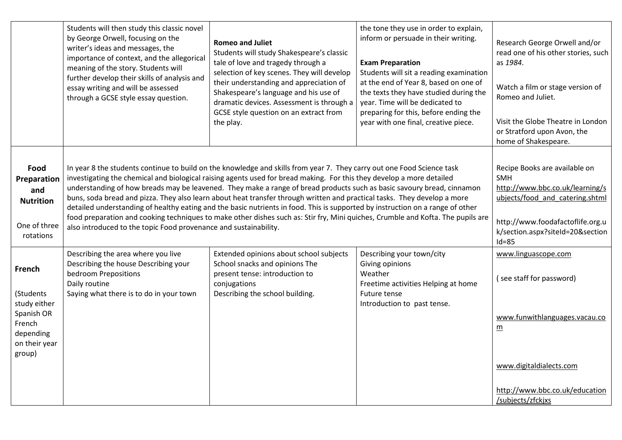|                                                                                                     | Students will then study this classic novel<br>by George Orwell, focusing on the<br>writer's ideas and messages, the<br>importance of context, and the allegorical<br>meaning of the story. Students will<br>further develop their skills of analysis and<br>essay writing and will be assessed<br>through a GCSE style essay question. | <b>Romeo and Juliet</b><br>Students will study Shakespeare's classic<br>tale of love and tragedy through a<br>selection of key scenes. They will develop<br>their understanding and appreciation of<br>Shakespeare's language and his use of<br>dramatic devices. Assessment is through a<br>GCSE style question on an extract from<br>the play.                                                                                                                                                                                                                                                                                                                                                                                                                           | the tone they use in order to explain,<br>inform or persuade in their writing.<br><b>Exam Preparation</b><br>Students will sit a reading examination<br>at the end of Year 8, based on one of<br>the texts they have studied during the<br>year. Time will be dedicated to<br>preparing for this, before ending the<br>year with one final, creative piece. | Research George Orwell and/or<br>read one of his other stories, such<br>as 1984.<br>Watch a film or stage version of<br>Romeo and Juliet.<br>Visit the Globe Theatre in London<br>or Stratford upon Avon, the<br>home of Shakespeare. |
|-----------------------------------------------------------------------------------------------------|-----------------------------------------------------------------------------------------------------------------------------------------------------------------------------------------------------------------------------------------------------------------------------------------------------------------------------------------|----------------------------------------------------------------------------------------------------------------------------------------------------------------------------------------------------------------------------------------------------------------------------------------------------------------------------------------------------------------------------------------------------------------------------------------------------------------------------------------------------------------------------------------------------------------------------------------------------------------------------------------------------------------------------------------------------------------------------------------------------------------------------|-------------------------------------------------------------------------------------------------------------------------------------------------------------------------------------------------------------------------------------------------------------------------------------------------------------------------------------------------------------|---------------------------------------------------------------------------------------------------------------------------------------------------------------------------------------------------------------------------------------|
| Food<br>Preparation<br>and<br><b>Nutrition</b><br>One of three<br>rotations                         | also introduced to the topic Food provenance and sustainability.                                                                                                                                                                                                                                                                        | In year 8 the students continue to build on the knowledge and skills from year 7. They carry out one Food Science task<br>investigating the chemical and biological raising agents used for bread making. For this they develop a more detailed<br>understanding of how breads may be leavened. They make a range of bread products such as basic savoury bread, cinnamon<br>buns, soda bread and pizza. They also learn about heat transfer through written and practical tasks. They develop a more<br>detailed understanding of healthy eating and the basic nutrients in food. This is supported by instruction on a range of other<br>food preparation and cooking techniques to make other dishes such as: Stir fry, Mini quiches, Crumble and Kofta. The pupils are |                                                                                                                                                                                                                                                                                                                                                             | Recipe Books are available on<br><b>SMH</b><br>http://www.bbc.co.uk/learning/s<br>ubjects/food_and_catering.shtml<br>http://www.foodafactoflife.org.u<br>k/section.aspx?siteId=20&section<br>$Id = 85$                                |
| French<br>(Students<br>study either<br>Spanish OR<br>French<br>depending<br>on their year<br>group) | Describing the area where you live<br>Describing the house Describing your<br>bedroom Prepositions<br>Daily routine<br>Saying what there is to do in your town                                                                                                                                                                          | Extended opinions about school subjects<br>School snacks and opinions The<br>present tense: introduction to<br>conjugations<br>Describing the school building.                                                                                                                                                                                                                                                                                                                                                                                                                                                                                                                                                                                                             | Describing your town/city<br>Giving opinions<br>Weather<br>Freetime activities Helping at home<br>Future tense<br>Introduction to past tense.                                                                                                                                                                                                               | www.linguascope.com<br>(see staff for password)<br>www.funwithlanguages.vacau.co<br>$\underline{m}$<br>www.digitaldialects.com<br>http://www.bbc.co.uk/education<br>/subjects/zfckjxs                                                 |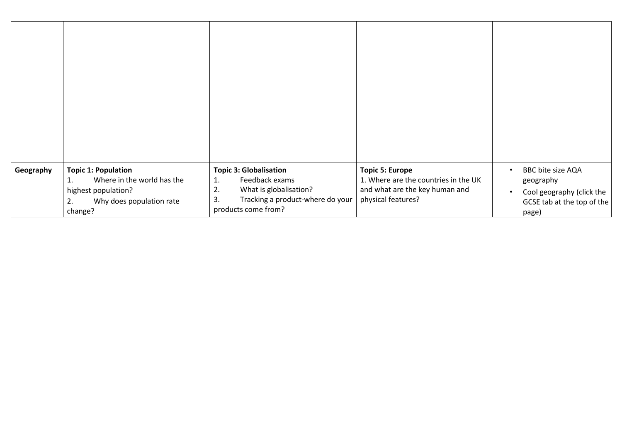| Geography | <b>Topic 1: Population</b><br>Where in the world has the<br>1.<br>highest population?<br>Why does population rate<br>2. | <b>Topic 3: Globalisation</b><br>Feedback exams<br>1.<br>2.<br>What is globalisation?<br>3.<br>Tracking a product-where do your | <b>Topic 5: Europe</b><br>1. Where are the countries in the UK<br>and what are the key human and<br>physical features? | BBC bite size AQA<br>geography<br>Cool geography (click the<br>GCSE tab at the top of the |
|-----------|-------------------------------------------------------------------------------------------------------------------------|---------------------------------------------------------------------------------------------------------------------------------|------------------------------------------------------------------------------------------------------------------------|-------------------------------------------------------------------------------------------|
|           | change?                                                                                                                 | products come from?                                                                                                             |                                                                                                                        | page)                                                                                     |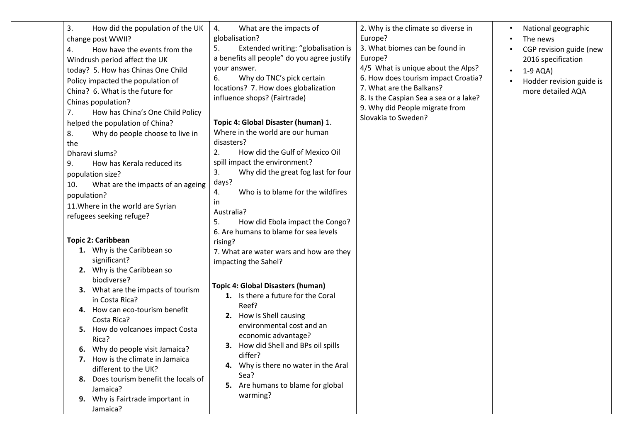| 3.<br>How did the population of the UK<br>change post WWII?<br>How have the events from the<br>4.<br>Windrush period affect the UK<br>today? 5. How has Chinas One Child<br>Policy impacted the population of<br>China? 6. What is the future for<br>Chinas population?<br>How has China's One Child Policy<br>7.<br>helped the population of China?<br>8.<br>Why do people choose to live in<br>the<br><b>Dharavi slums?</b><br>How has Kerala reduced its<br>9.<br>population size?<br>What are the impacts of an ageing<br>10.<br>population?<br>11. Where in the world are Syrian<br>refugees seeking refuge? | What are the impacts of<br>4.<br>globalisation?<br>Extended writing: "globalisation is<br>5.<br>a benefits all people" do you agree justify<br>your answer.<br>Why do TNC's pick certain<br>6.<br>locations? 7. How does globalization<br>influence shops? (Fairtrade)<br>Topic 4: Global Disaster (human) 1.<br>Where in the world are our human<br>disasters?<br>How did the Gulf of Mexico Oil<br>2.<br>spill impact the environment?<br>Why did the great fog last for four<br>3.<br>days?<br>Who is to blame for the wildfires<br>4.<br>in.<br>Australia?<br>How did Ebola impact the Congo?<br>5.<br>6. Are humans to blame for sea levels | 2. Why is the climate so diverse in<br>Europe?<br>3. What biomes can be found in<br>Europe?<br>4/5 What is unique about the Alps?<br>6. How does tourism impact Croatia?<br>7. What are the Balkans?<br>8. Is the Caspian Sea a sea or a lake?<br>9. Why did People migrate from<br>Slovakia to Sweden? | National geographic<br>The news<br>CGP revision guide (new<br>2016 specification<br>$1-9$ AQA)<br>Hodder revision guide is<br>more detailed AQA |
|-------------------------------------------------------------------------------------------------------------------------------------------------------------------------------------------------------------------------------------------------------------------------------------------------------------------------------------------------------------------------------------------------------------------------------------------------------------------------------------------------------------------------------------------------------------------------------------------------------------------|--------------------------------------------------------------------------------------------------------------------------------------------------------------------------------------------------------------------------------------------------------------------------------------------------------------------------------------------------------------------------------------------------------------------------------------------------------------------------------------------------------------------------------------------------------------------------------------------------------------------------------------------------|---------------------------------------------------------------------------------------------------------------------------------------------------------------------------------------------------------------------------------------------------------------------------------------------------------|-------------------------------------------------------------------------------------------------------------------------------------------------|
| <b>Topic 2: Caribbean</b><br>1. Why is the Caribbean so                                                                                                                                                                                                                                                                                                                                                                                                                                                                                                                                                           | rising?<br>7. What are water wars and how are they                                                                                                                                                                                                                                                                                                                                                                                                                                                                                                                                                                                               |                                                                                                                                                                                                                                                                                                         |                                                                                                                                                 |
| significant?<br>Why is the Caribbean so<br>2.<br>biodiverse?<br>What are the impacts of tourism<br>З.<br>in Costa Rica?<br>How can eco-tourism benefit<br>4.<br>Costa Rica?<br>How do volcanoes impact Costa<br>Rica?<br>Why do people visit Jamaica?<br>6.<br>7. How is the climate in Jamaica<br>different to the UK?<br>Does tourism benefit the locals of<br>8.<br>Jamaica?<br>Why is Fairtrade important in<br>Jamaica?                                                                                                                                                                                      | impacting the Sahel?<br><b>Topic 4: Global Disasters (human)</b><br>1. Is there a future for the Coral<br>Reef?<br>2. How is Shell causing<br>environmental cost and an<br>economic advantage?<br>3. How did Shell and BPs oil spills<br>differ?<br>Why is there no water in the Aral<br>Sea?<br>5. Are humans to blame for global<br>warming?                                                                                                                                                                                                                                                                                                   |                                                                                                                                                                                                                                                                                                         |                                                                                                                                                 |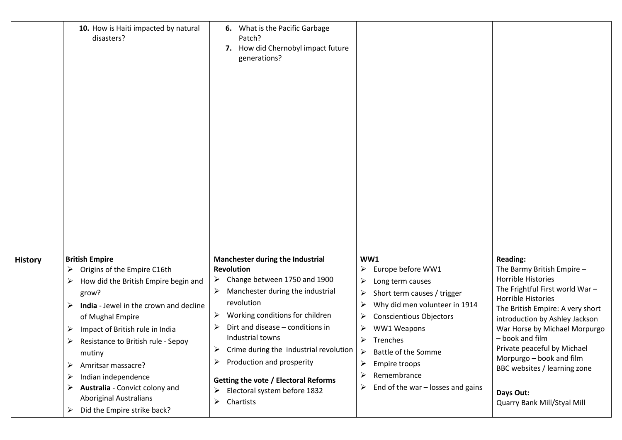|                | 10. How is Haiti impacted by natural<br>disasters?                                                                                                                                                                                                                                                                                                                                                                                                 | 6. What is the Pacific Garbage<br>Patch?<br>How did Chernobyl impact future<br>7.<br>generations?                                                                                                                                                                                                                                                                                                                       |                                                                                                                                                                                                                                                                                                                           |                                                                                                                                                                                                                                                                                                                                                                                              |
|----------------|----------------------------------------------------------------------------------------------------------------------------------------------------------------------------------------------------------------------------------------------------------------------------------------------------------------------------------------------------------------------------------------------------------------------------------------------------|-------------------------------------------------------------------------------------------------------------------------------------------------------------------------------------------------------------------------------------------------------------------------------------------------------------------------------------------------------------------------------------------------------------------------|---------------------------------------------------------------------------------------------------------------------------------------------------------------------------------------------------------------------------------------------------------------------------------------------------------------------------|----------------------------------------------------------------------------------------------------------------------------------------------------------------------------------------------------------------------------------------------------------------------------------------------------------------------------------------------------------------------------------------------|
| <b>History</b> | <b>British Empire</b><br>Origins of the Empire C16th<br>➤<br>How did the British Empire begin and<br>➤<br>grow?<br>India - Jewel in the crown and decline<br>➤<br>of Mughal Empire<br>Impact of British rule in India<br>➤<br>Resistance to British rule - Sepoy<br>➤<br>mutiny<br>Amritsar massacre?<br>➤<br>Indian independence<br>➤<br>Australia - Convict colony and<br>➤<br><b>Aboriginal Australians</b><br>Did the Empire strike back?<br>➤ | Manchester during the Industrial<br>Revolution<br>Change between 1750 and 1900<br>➤<br>Manchester during the industrial<br>revolution<br>Working conditions for children<br>Dirt and disease - conditions in<br>Industrial towns<br>Crime during the industrial revolution<br>➤<br>Production and prosperity<br>➤<br><b>Getting the vote / Electoral Reforms</b><br>Electoral system before 1832<br>➤<br>Chartists<br>➤ | WW1<br>Europe before WW1<br>≻<br>➤<br>Long term causes<br>Short term causes / trigger<br>➤<br>➤<br>Why did men volunteer in 1914<br><b>Conscientious Objectors</b><br>➤<br>WW1 Weapons<br>➤<br>➤<br>Trenches<br>Battle of the Somme<br>➤<br>Empire troops<br>Remembrance<br>➤<br>End of the war $-$ losses and gains<br>➤ | <b>Reading:</b><br>The Barmy British Empire -<br>Horrible Histories<br>The Frightful First world War-<br>Horrible Histories<br>The British Empire: A very short<br>introduction by Ashley Jackson<br>War Horse by Michael Morpurgo<br>- book and film<br>Private peaceful by Michael<br>Morpurgo - book and film<br>BBC websites / learning zone<br>Days Out:<br>Quarry Bank Mill/Styal Mill |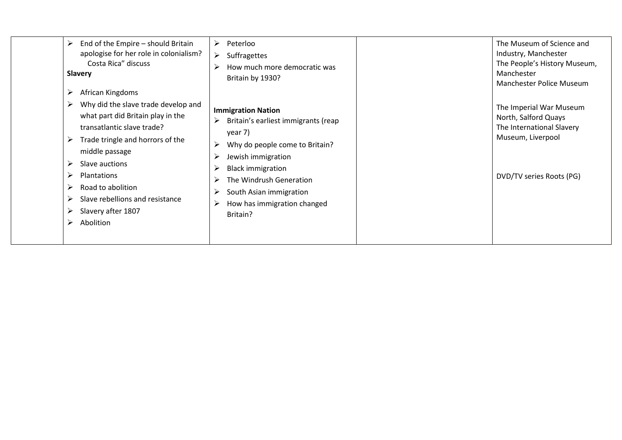| End of the Empire - should Britain<br>➤<br>apologise for her role in colonialism?<br>Costa Rica" discuss<br><b>Slavery</b>                                                                                                                                                                                                                                  | Peterloo<br>➤<br>➤<br>Suffragettes<br>How much more democratic was<br>Britain by 1930?                                                                                                                                                                                | The Museum of Science and<br>Industry, Manchester<br>The People's History Museum,<br>Manchester<br><b>Manchester Police Museum</b> |
|-------------------------------------------------------------------------------------------------------------------------------------------------------------------------------------------------------------------------------------------------------------------------------------------------------------------------------------------------------------|-----------------------------------------------------------------------------------------------------------------------------------------------------------------------------------------------------------------------------------------------------------------------|------------------------------------------------------------------------------------------------------------------------------------|
| African Kingdoms<br>Why did the slave trade develop and<br>➤<br>what part did Britain play in the<br>transatlantic slave trade?<br>Trade tringle and horrors of the<br>➤<br>middle passage<br>Slave auctions<br>➤<br>➤<br><b>Plantations</b><br>Road to abolition<br>➤<br>Slave rebellions and resistance<br>➤<br>Slavery after 1807<br>➤<br>Abolition<br>➤ | <b>Immigration Nation</b><br>Britain's earliest immigrants (reap<br>➤<br>year 7)<br>Why do people come to Britain?<br>Jewish immigration<br><b>Black immigration</b><br>The Windrush Generation<br>South Asian immigration<br>How has immigration changed<br>Britain? | The Imperial War Museum<br>North, Salford Quays<br>The International Slavery<br>Museum, Liverpool<br>DVD/TV series Roots (PG)      |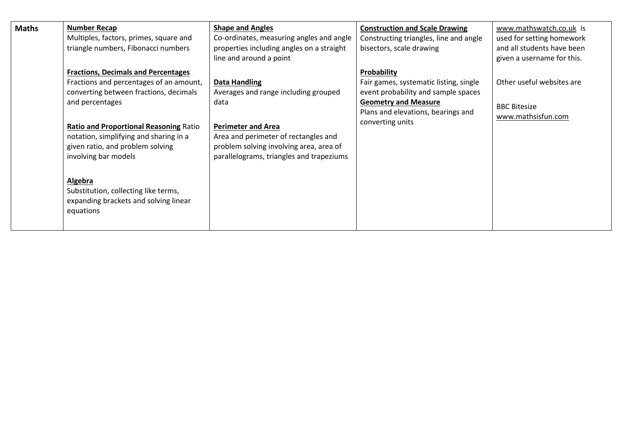| <b>Maths</b> | <b>Number Recap</b><br>Multiples, factors, primes, square and<br>triangle numbers, Fibonacci numbers                                                                                                                                                                                                      | <b>Shape and Angles</b><br>Co-ordinates, measuring angles and angle<br>properties including angles on a straight<br>line and around a point                                                                                      | <b>Construction and Scale Drawing</b><br>Constructing triangles, line and angle<br>bisectors, scale drawing                                                                           | www.mathswatch.co.uk is<br>used for setting homework<br>and all students have been<br>given a username for this. |
|--------------|-----------------------------------------------------------------------------------------------------------------------------------------------------------------------------------------------------------------------------------------------------------------------------------------------------------|----------------------------------------------------------------------------------------------------------------------------------------------------------------------------------------------------------------------------------|---------------------------------------------------------------------------------------------------------------------------------------------------------------------------------------|------------------------------------------------------------------------------------------------------------------|
|              | <b>Fractions, Decimals and Percentages</b><br>Fractions and percentages of an amount,<br>converting between fractions, decimals<br>and percentages<br><b>Ratio and Proportional Reasoning Ratio</b><br>notation, simplifying and sharing in a<br>given ratio, and problem solving<br>involving bar models | <b>Data Handling</b><br>Averages and range including grouped<br>data<br><b>Perimeter and Area</b><br>Area and perimeter of rectangles and<br>problem solving involving area, area of<br>parallelograms, triangles and trapeziums | Probability<br>Fair games, systematic listing, single<br>event probability and sample spaces<br><b>Geometry and Measure</b><br>Plans and elevations, bearings and<br>converting units | Other useful websites are<br><b>BBC Bitesize</b><br>www.mathsisfun.com                                           |
|              | Algebra<br>Substitution, collecting like terms,<br>expanding brackets and solving linear<br>equations                                                                                                                                                                                                     |                                                                                                                                                                                                                                  |                                                                                                                                                                                       |                                                                                                                  |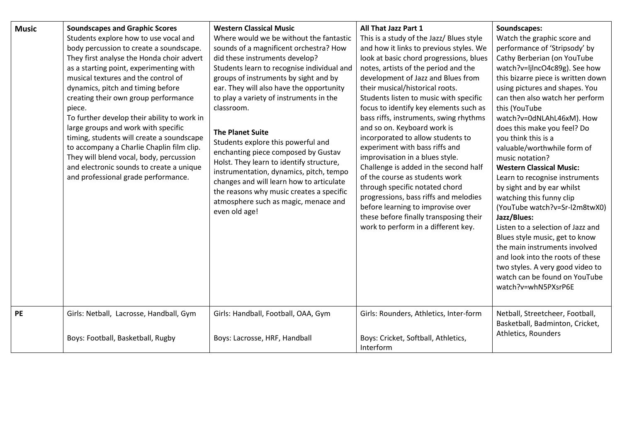| <b>Music</b> | <b>Soundscapes and Graphic Scores</b><br>Students explore how to use vocal and<br>body percussion to create a soundscape.<br>They first analyse the Honda choir advert<br>as a starting point, experimenting with<br>musical textures and the control of<br>dynamics, pitch and timing before<br>creating their own group performance<br>piece.<br>To further develop their ability to work in<br>large groups and work with specific<br>timing, students will create a soundscape<br>to accompany a Charlie Chaplin film clip.<br>They will blend vocal, body, percussion<br>and electronic sounds to create a unique<br>and professional grade performance. | <b>Western Classical Music</b><br>Where would we be without the fantastic<br>sounds of a magnificent orchestra? How<br>did these instruments develop?<br>Students learn to recognise individual and<br>groups of instruments by sight and by<br>ear. They will also have the opportunity<br>to play a variety of instruments in the<br>classroom.<br><b>The Planet Suite</b><br>Students explore this powerful and<br>enchanting piece composed by Gustav<br>Holst. They learn to identify structure,<br>instrumentation, dynamics, pitch, tempo<br>changes and will learn how to articulate<br>the reasons why music creates a specific<br>atmosphere such as magic, menace and<br>even old age! | All That Jazz Part 1<br>This is a study of the Jazz/ Blues style<br>and how it links to previous styles. We<br>look at basic chord progressions, blues<br>notes, artists of the period and the<br>development of Jazz and Blues from<br>their musical/historical roots.<br>Students listen to music with specific<br>focus to identify key elements such as<br>bass riffs, instruments, swing rhythms<br>and so on. Keyboard work is<br>incorporated to allow students to<br>experiment with bass riffs and<br>improvisation in a blues style.<br>Challenge is added in the second half<br>of the course as students work<br>through specific notated chord<br>progressions, bass riffs and melodies<br>before learning to improvise over<br>these before finally transposing their<br>work to perform in a different key. | Soundscapes:<br>Watch the graphic score and<br>performance of 'Stripsody' by<br>Cathy Berberian (on YouTube<br>watch?v=ljlncO4c89g). See how<br>this bizarre piece is written down<br>using pictures and shapes. You<br>can then also watch her perform<br>this (YouTube<br>watch?v=0dNLAhL46xM). How<br>does this make you feel? Do<br>you think this is a<br>valuable/worthwhile form of<br>music notation?<br><b>Western Classical Music:</b><br>Learn to recognise instruments<br>by sight and by ear whilst<br>watching this funny clip<br>(YouTube watch?v=Sr-l2m8twX0)<br>Jazz/Blues:<br>Listen to a selection of Jazz and<br>Blues style music, get to know<br>the main instruments involved<br>and look into the roots of these<br>two styles. A very good video to<br>watch can be found on YouTube<br>watch?v=whN5PXsrP6E |
|--------------|---------------------------------------------------------------------------------------------------------------------------------------------------------------------------------------------------------------------------------------------------------------------------------------------------------------------------------------------------------------------------------------------------------------------------------------------------------------------------------------------------------------------------------------------------------------------------------------------------------------------------------------------------------------|---------------------------------------------------------------------------------------------------------------------------------------------------------------------------------------------------------------------------------------------------------------------------------------------------------------------------------------------------------------------------------------------------------------------------------------------------------------------------------------------------------------------------------------------------------------------------------------------------------------------------------------------------------------------------------------------------|----------------------------------------------------------------------------------------------------------------------------------------------------------------------------------------------------------------------------------------------------------------------------------------------------------------------------------------------------------------------------------------------------------------------------------------------------------------------------------------------------------------------------------------------------------------------------------------------------------------------------------------------------------------------------------------------------------------------------------------------------------------------------------------------------------------------------|--------------------------------------------------------------------------------------------------------------------------------------------------------------------------------------------------------------------------------------------------------------------------------------------------------------------------------------------------------------------------------------------------------------------------------------------------------------------------------------------------------------------------------------------------------------------------------------------------------------------------------------------------------------------------------------------------------------------------------------------------------------------------------------------------------------------------------------|
| PE           | Girls: Netball, Lacrosse, Handball, Gym<br>Boys: Football, Basketball, Rugby                                                                                                                                                                                                                                                                                                                                                                                                                                                                                                                                                                                  | Girls: Handball, Football, OAA, Gym<br>Boys: Lacrosse, HRF, Handball                                                                                                                                                                                                                                                                                                                                                                                                                                                                                                                                                                                                                              | Girls: Rounders, Athletics, Inter-form<br>Boys: Cricket, Softball, Athletics,<br>Interform                                                                                                                                                                                                                                                                                                                                                                                                                                                                                                                                                                                                                                                                                                                                 | Netball, Streetcheer, Football,<br>Basketball, Badminton, Cricket,<br>Athletics, Rounders                                                                                                                                                                                                                                                                                                                                                                                                                                                                                                                                                                                                                                                                                                                                            |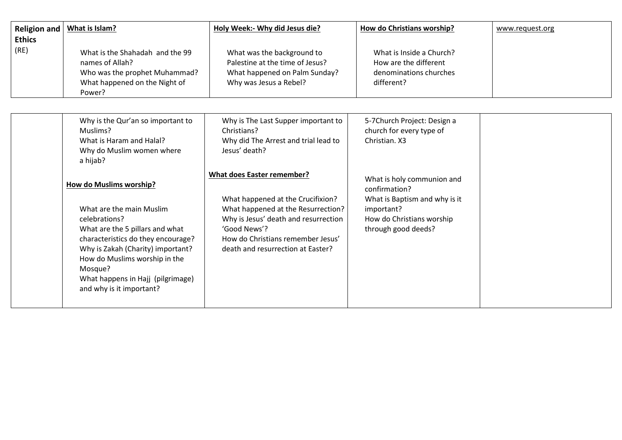| <b>Religion and</b>   | What is Islam?                                                                                                                                                                                                                                                                                         | Holy Week:- Why did Jesus die?                                                                                                                                                                                                                 | How do Christians worship?                                                                                                                     | www.request.org |
|-----------------------|--------------------------------------------------------------------------------------------------------------------------------------------------------------------------------------------------------------------------------------------------------------------------------------------------------|------------------------------------------------------------------------------------------------------------------------------------------------------------------------------------------------------------------------------------------------|------------------------------------------------------------------------------------------------------------------------------------------------|-----------------|
| <b>Ethics</b><br>(RE) | What is the Shahadah and the 99<br>names of Allah?<br>Who was the prophet Muhammad?<br>What happened on the Night of<br>Power?                                                                                                                                                                         | What was the background to<br>Palestine at the time of Jesus?<br>What happened on Palm Sunday?<br>Why was Jesus a Rebel?                                                                                                                       | What is Inside a Church?<br>How are the different<br>denominations churches<br>different?                                                      |                 |
|                       | Why is the Qur'an so important to<br>Muslims?<br>What is Haram and Halal?<br>Why do Muslim women where<br>a hijab?                                                                                                                                                                                     | Why is The Last Supper important to<br>Christians?<br>Why did The Arrest and trial lead to<br>Jesus' death?                                                                                                                                    | 5-7Church Project: Design a<br>church for every type of<br>Christian. X3                                                                       |                 |
|                       | <b>How do Muslims worship?</b><br>What are the main Muslim<br>celebrations?<br>What are the 5 pillars and what<br>characteristics do they encourage?<br>Why is Zakah (Charity) important?<br>How do Muslims worship in the<br>Mosque?<br>What happens in Hajj (pilgrimage)<br>and why is it important? | <b>What does Easter remember?</b><br>What happened at the Crucifixion?<br>What happened at the Resurrection?<br>Why is Jesus' death and resurrection<br>'Good News'?<br>How do Christians remember Jesus'<br>death and resurrection at Easter? | What is holy communion and<br>confirmation?<br>What is Baptism and why is it<br>important?<br>How do Christians worship<br>through good deeds? |                 |